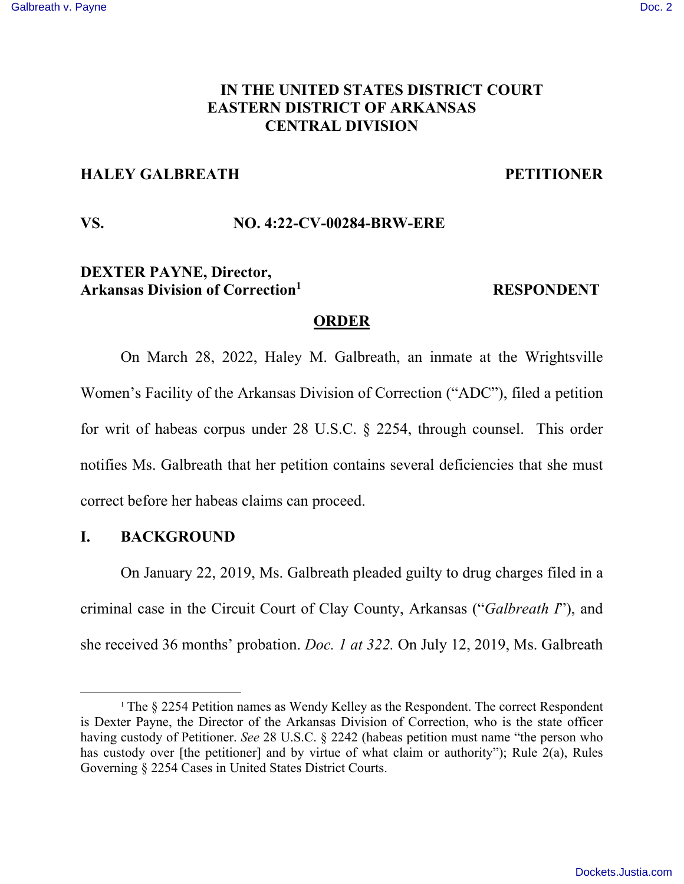# **IN THE UNITED STATES DISTRICT COURT EASTERN DISTRICT OF ARKANSAS CENTRAL DIVISION**

# **HALEY GALBREATH PETITIONER**

## **VS. NO. 4:22-CV-00284-BRW-ERE**

# **DEXTER PAYNE, Director, Arkansas Division of Correction<sup>1</sup>**

## **RESPONDENT**

## **ORDER**

On March 28, 2022, Haley M. Galbreath, an inmate at the Wrightsville Women's Facility of the Arkansas Division of Correction ("ADC"), filed a petition for writ of habeas corpus under 28 U.S.C. § 2254, through counsel. This order notifies Ms. Galbreath that her petition contains several deficiencies that she must correct before her habeas claims can proceed.

# **I. BACKGROUND**

On January 22, 2019, Ms. Galbreath pleaded guilty to drug charges filed in a criminal case in the Circuit Court of Clay County, Arkansas ("*Galbreath I*"), and she received 36 months' probation. *Doc. 1 at 322.* On July 12, 2019, Ms. Galbreath

<sup>&</sup>lt;sup>1</sup> The § 2254 Petition names as Wendy Kelley as the Respondent. The correct Respondent is Dexter Payne, the Director of the Arkansas Division of Correction, who is the state officer having custody of Petitioner. *See* 28 U.S.C. § 2242 (habeas petition must name "the person who has custody over [the petitioner] and by virtue of what claim or authority"); Rule 2(a), Rules Governing § 2254 Cases in United States District Courts.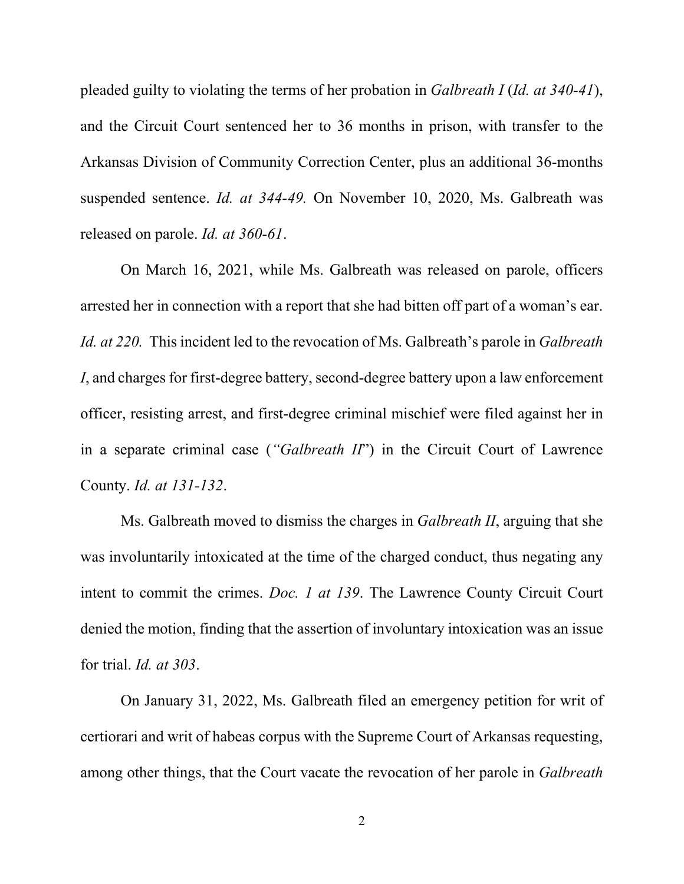pleaded guilty to violating the terms of her probation in *Galbreath I* (*Id. at 340-41*), and the Circuit Court sentenced her to 36 months in prison, with transfer to the Arkansas Division of Community Correction Center, plus an additional 36-months suspended sentence. *Id. at 344-49.* On November 10, 2020, Ms. Galbreath was released on parole. *Id. at 360-61*.

 On March 16, 2021, while Ms. Galbreath was released on parole, officers arrested her in connection with a report that she had bitten off part of a woman's ear. *Id. at 220.* This incident led to the revocation of Ms. Galbreath's parole in *Galbreath I*, and charges for first-degree battery, second-degree battery upon a law enforcement officer, resisting arrest, and first-degree criminal mischief were filed against her in in a separate criminal case (*"Galbreath II*") in the Circuit Court of Lawrence County. *Id. at 131-132*.

 Ms. Galbreath moved to dismiss the charges in *Galbreath II*, arguing that she was involuntarily intoxicated at the time of the charged conduct, thus negating any intent to commit the crimes. *Doc. 1 at 139*. The Lawrence County Circuit Court denied the motion, finding that the assertion of involuntary intoxication was an issue for trial. *Id. at 303*.

 On January 31, 2022, Ms. Galbreath filed an emergency petition for writ of certiorari and writ of habeas corpus with the Supreme Court of Arkansas requesting, among other things, that the Court vacate the revocation of her parole in *Galbreath*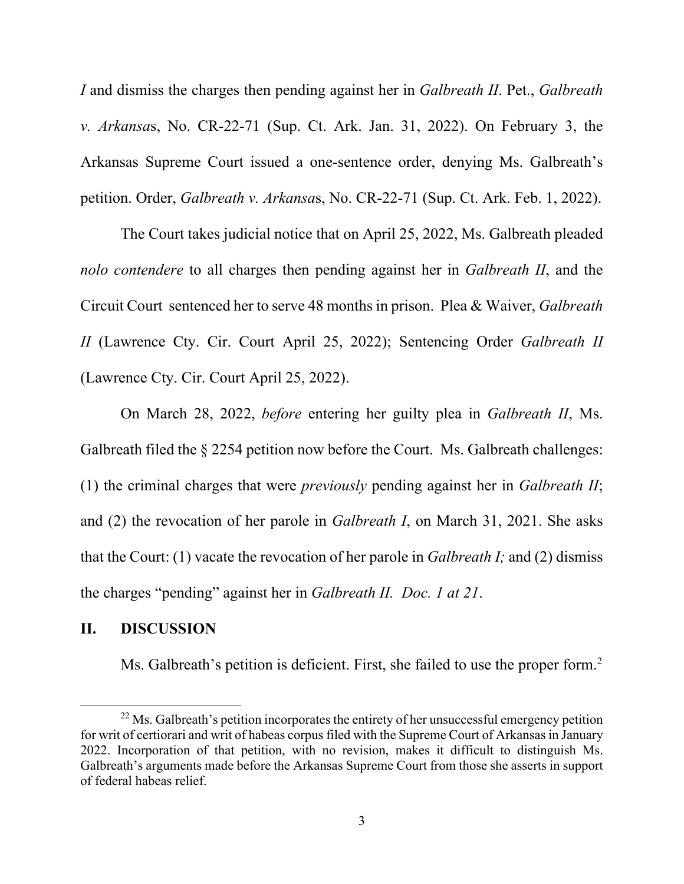*I* and dismiss the charges then pending against her in *Galbreath II*. Pet., *Galbreath v. Arkansa*s, No. CR-22-71 (Sup. Ct. Ark. Jan. 31, 2022). On February 3, the Arkansas Supreme Court issued a one-sentence order, denying Ms. Galbreath's petition. Order, *Galbreath v. Arkansa*s, No. CR-22-71 (Sup. Ct. Ark. Feb. 1, 2022).

 The Court takes judicial notice that on April 25, 2022, Ms. Galbreath pleaded *nolo contendere* to all charges then pending against her in *Galbreath II*, and the Circuit Court sentenced her to serve 48 months in prison. Plea & Waiver, *Galbreath II* (Lawrence Cty. Cir. Court April 25, 2022); Sentencing Order *Galbreath II* (Lawrence Cty. Cir. Court April 25, 2022).

 On March 28, 2022, *before* entering her guilty plea in *Galbreath II*, Ms. Galbreath filed the § 2254 petition now before the Court. Ms. Galbreath challenges: (1) the criminal charges that were *previously* pending against her in *Galbreath II*; and (2) the revocation of her parole in *Galbreath I*, on March 31, 2021. She asks that the Court: (1) vacate the revocation of her parole in *Galbreath I;* and (2) dismiss the charges "pending" against her in *Galbreath II. Doc. 1 at 21*.

#### **II. DISCUSSION**

Ms. Galbreath's petition is deficient. First, she failed to use the proper form.<sup>2</sup>

 $22$  Ms. Galbreath's petition incorporates the entirety of her unsuccessful emergency petition for writ of certiorari and writ of habeas corpus filed with the Supreme Court of Arkansas in January 2022. Incorporation of that petition, with no revision, makes it difficult to distinguish Ms. Galbreath's arguments made before the Arkansas Supreme Court from those she asserts in support of federal habeas relief.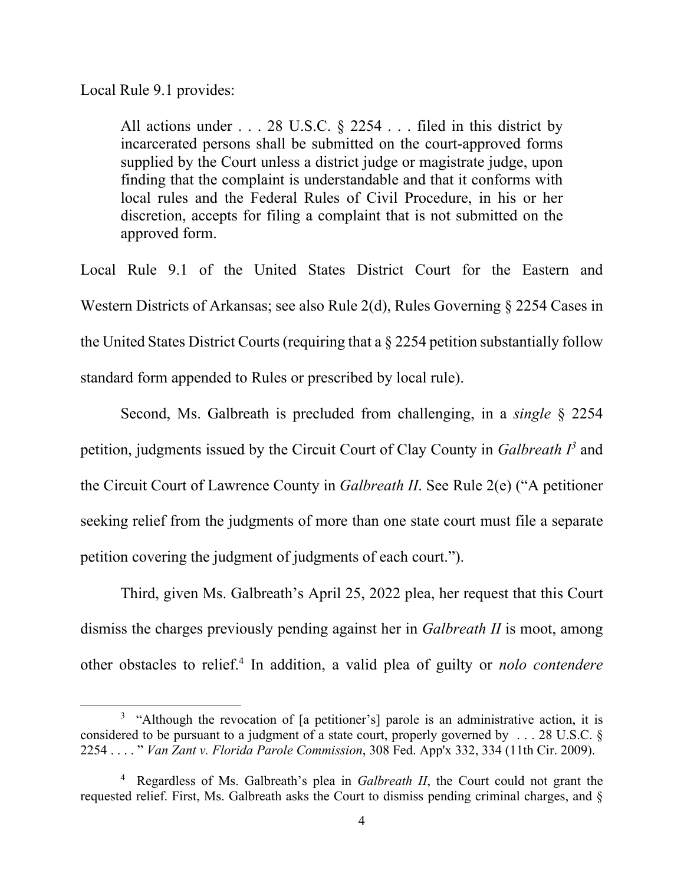Local Rule 9.1 provides:

All actions under . . . 28 U.S.C. § 2254 . . . filed in this district by incarcerated persons shall be submitted on the court-approved forms supplied by the Court unless a district judge or magistrate judge, upon finding that the complaint is understandable and that it conforms with local rules and the Federal Rules of Civil Procedure, in his or her discretion, accepts for filing a complaint that is not submitted on the approved form.

Local Rule 9.1 of the United States District Court for the Eastern and Western Districts of Arkansas; see also Rule 2(d), Rules Governing § 2254 Cases in the United States District Courts (requiring that a § 2254 petition substantially follow standard form appended to Rules or prescribed by local rule).

 Second, Ms. Galbreath is precluded from challenging, in a *single* § 2254 petition, judgments issued by the Circuit Court of Clay County in *Galbreath*  $I^3$  and the Circuit Court of Lawrence County in *Galbreath II*. See Rule 2(e) ("A petitioner seeking relief from the judgments of more than one state court must file a separate petition covering the judgment of judgments of each court.").

 Third, given Ms. Galbreath's April 25, 2022 plea, her request that this Court dismiss the charges previously pending against her in *Galbreath II* is moot, among other obstacles to relief.<sup>4</sup> In addition, a valid plea of guilty or *nolo contendere*

<sup>&</sup>lt;sup>3</sup> "Although the revocation of [a petitioner's] parole is an administrative action, it is considered to be pursuant to a judgment of a state court, properly governed by . . . 28 U.S.C. § 2254 . . . . " *Van Zant v. Florida Parole Commission*, 308 Fed. App'x 332, 334 (11th Cir. 2009).

<sup>4</sup> Regardless of Ms. Galbreath's plea in *Galbreath II*, the Court could not grant the requested relief. First, Ms. Galbreath asks the Court to dismiss pending criminal charges, and §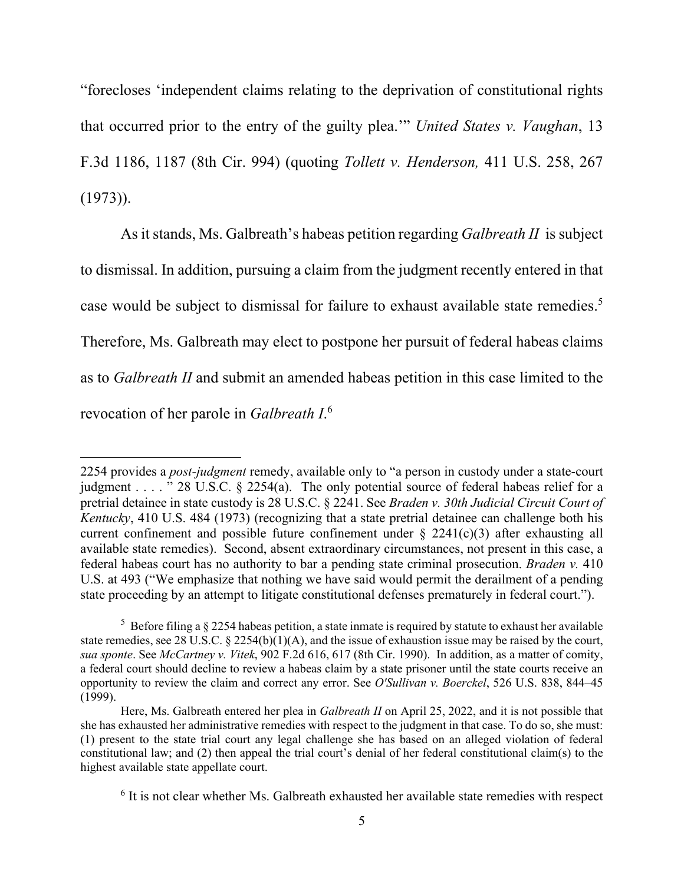"forecloses 'independent claims relating to the deprivation of constitutional rights that occurred prior to the entry of the guilty plea.'" *United States v. Vaughan*, 13 F.3d 1186, 1187 (8th Cir. 994) (quoting *Tollett v. Henderson,* 411 U.S. 258, 267 (1973)).

 As it stands, Ms. Galbreath's habeas petition regarding *Galbreath II* is subject to dismissal. In addition, pursuing a claim from the judgment recently entered in that case would be subject to dismissal for failure to exhaust available state remedies.<sup>5</sup> Therefore, Ms. Galbreath may elect to postpone her pursuit of federal habeas claims as to *Galbreath II* and submit an amended habeas petition in this case limited to the revocation of her parole in *Galbreath I*. 6

<sup>2254</sup> provides a *post-judgment* remedy, available only to "a person in custody under a state-court judgment . . . . " 28 U.S.C. § 2254(a). The only potential source of federal habeas relief for a pretrial detainee in state custody is 28 U.S.C. § 2241. See *Braden v. 30th Judicial Circuit Court of Kentucky*, 410 U.S. 484 (1973) (recognizing that a state pretrial detainee can challenge both his current confinement and possible future confinement under  $\S$  2241(c)(3) after exhausting all available state remedies). Second, absent extraordinary circumstances, not present in this case, a federal habeas court has no authority to bar a pending state criminal prosecution. *Braden v.* 410 U.S. at 493 ("We emphasize that nothing we have said would permit the derailment of a pending state proceeding by an attempt to litigate constitutional defenses prematurely in federal court.").

<sup>&</sup>lt;sup>5</sup> Before filing a  $\S 2254$  habeas petition, a state inmate is required by statute to exhaust her available state remedies, see 28 U.S.C.  $\S 2254(b)(1)(A)$ , and the issue of exhaustion issue may be raised by the court, *sua sponte*. See *McCartney v. Vitek*, 902 F.2d 616, 617 (8th Cir. 1990). In addition, as a matter of comity, a federal court should decline to review a habeas claim by a state prisoner until the state courts receive an opportunity to review the claim and correct any error. See *O'Sullivan v. Boerckel*, 526 U.S. 838, 844–45 (1999).

Here, Ms. Galbreath entered her plea in *Galbreath II* on April 25, 2022, and it is not possible that she has exhausted her administrative remedies with respect to the judgment in that case. To do so, she must: (1) present to the state trial court any legal challenge she has based on an alleged violation of federal constitutional law; and (2) then appeal the trial court's denial of her federal constitutional claim(s) to the highest available state appellate court.

<sup>&</sup>lt;sup>6</sup> It is not clear whether Ms. Galbreath exhausted her available state remedies with respect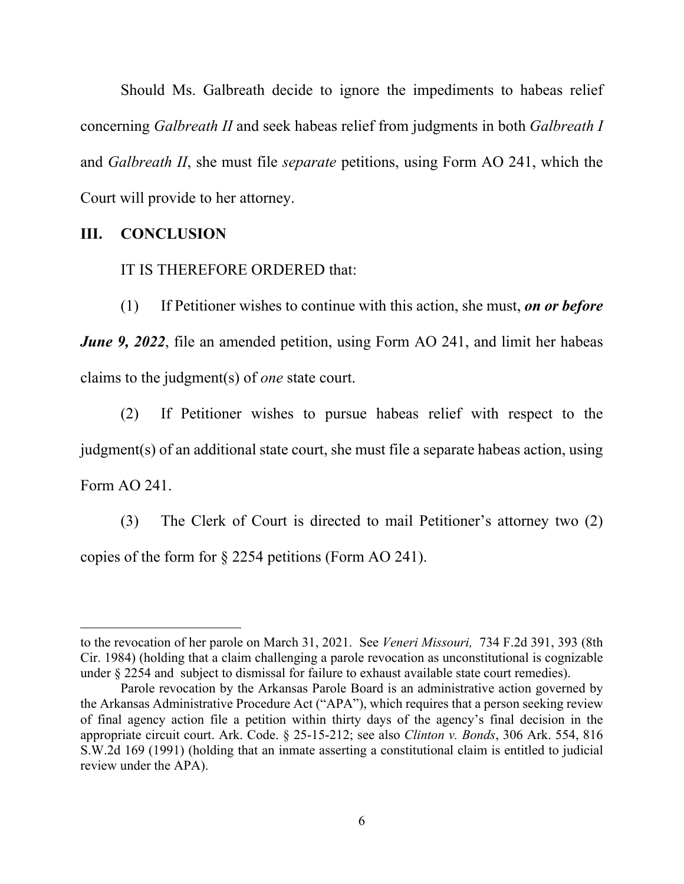Should Ms. Galbreath decide to ignore the impediments to habeas relief concerning *Galbreath II* and seek habeas relief from judgments in both *Galbreath I* and *Galbreath II*, she must file *separate* petitions, using Form AO 241, which the Court will provide to her attorney.

## **III. CONCLUSION**

#### IT IS THEREFORE ORDERED that:

 (1) If Petitioner wishes to continue with this action, she must, *on or before June 9, 2022*, file an amended petition, using Form AO 241, and limit her habeas claims to the judgment(s) of *one* state court.

 (2) If Petitioner wishes to pursue habeas relief with respect to the judgment(s) of an additional state court, she must file a separate habeas action, using Form AO 241.

 (3) The Clerk of Court is directed to mail Petitioner's attorney two (2) copies of the form for § 2254 petitions (Form AO 241).

to the revocation of her parole on March 31, 2021. See *Veneri Missouri,* 734 F.2d 391, 393 (8th Cir. 1984) (holding that a claim challenging a parole revocation as unconstitutional is cognizable under § 2254 and subject to dismissal for failure to exhaust available state court remedies).

Parole revocation by the Arkansas Parole Board is an administrative action governed by the Arkansas Administrative Procedure Act ("APA"), which requires that a person seeking review of final agency action file a petition within thirty days of the agency's final decision in the appropriate circuit court. Ark. Code. § 25-15-212; see also *Clinton v. Bonds*, 306 Ark. 554, 816 S.W.2d 169 (1991) (holding that an inmate asserting a constitutional claim is entitled to judicial review under the APA).